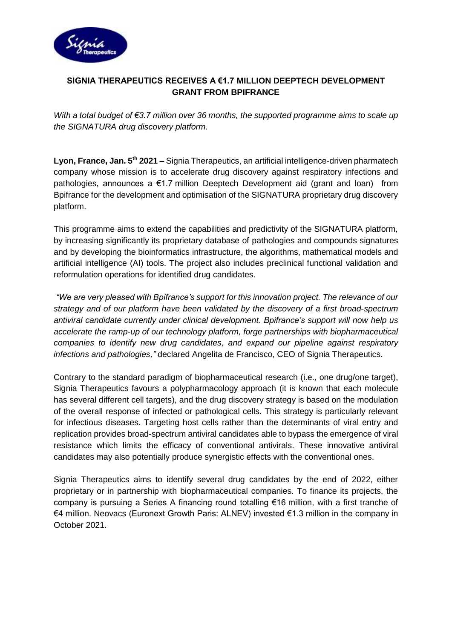

## **SIGNIA THERAPEUTICS RECEIVES A €1.7 MILLION DEEPTECH DEVELOPMENT GRANT FROM BPIFRANCE**

*With a total budget of €3.7 million over 36 months, the supported programme aims to scale up the SIGNATURA drug discovery platform.*

**Lyon, France, Jan. 5th 2021 –** Signia Therapeutics, an artificial intelligence-driven pharmatech company whose mission is to accelerate drug discovery against respiratory infections and pathologies, announces a €1.7 million Deeptech Development aid (grant and loan) from Bpifrance for the development and optimisation of the SIGNATURA proprietary drug discovery platform.

This programme aims to extend the capabilities and predictivity of the SIGNATURA platform, by increasing significantly its proprietary database of pathologies and compounds signatures and by developing the bioinformatics infrastructure, the algorithms, mathematical models and artificial intelligence (AI) tools. The project also includes preclinical functional validation and reformulation operations for identified drug candidates.

*"We are very pleased with Bpifrance's support for this innovation project. The relevance of our strategy and of our platform have been validated by the discovery of a first broad-spectrum antiviral candidate currently under clinical development. Bpifrance's support will now help us accelerate the ramp-up of our technology platform, forge partnerships with biopharmaceutical companies to identify new drug candidates, and expand our pipeline against respiratory infections and pathologies,"* declared Angelita de Francisco, CEO of Signia Therapeutics.

Contrary to the standard paradigm of biopharmaceutical research (i.e., one drug/one target), Signia Therapeutics favours a polypharmacology approach (it is known that each molecule has several different cell targets), and the drug discovery strategy is based on the modulation of the overall response of infected or pathological cells. This strategy is particularly relevant for infectious diseases. Targeting host cells rather than the determinants of viral entry and replication provides broad-spectrum antiviral candidates able to bypass the emergence of viral resistance which limits the efficacy of conventional antivirals. These innovative antiviral candidates may also potentially produce synergistic effects with the conventional ones.

Signia Therapeutics aims to identify several drug candidates by the end of 2022, either proprietary or in partnership with biopharmaceutical companies. To finance its projects, the company is pursuing a Series A financing round totalling €16 million, with a first tranche of €4 million. Neovacs (Euronext Growth Paris: ALNEV) invested €1.3 million in the company in October 2021.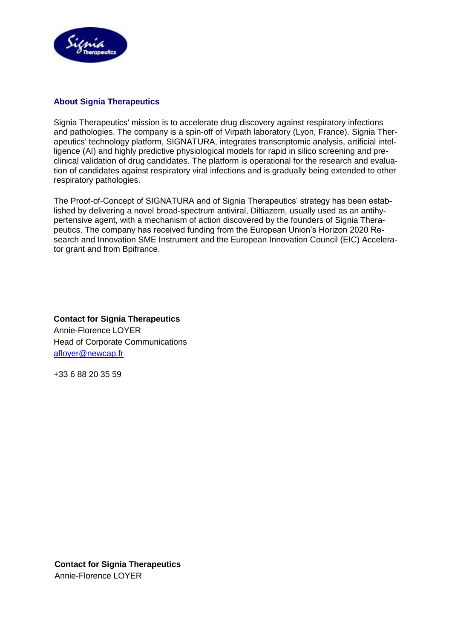

## **About Signia Therapeutics**

Signia Therapeutics' mission is to accelerate drug discovery against respiratory infections and pathologies. The company is a spin-off of Virpath laboratory (Lyon, France). Signia Therapeutics' technology platform, SIGNATURA, integrates transcriptomic analysis, artificial intelligence (AI) and highly predictive physiological models for rapid in silico screening and preclinical validation of drug candidates. The platform is operational for the research and evaluation of candidates against respiratory viral infections and is gradually being extended to other respiratory pathologies.

The Proof-of-Concept of SIGNATURA and of Signia Therapeutics' strategy has been established by delivering a novel broad-spectrum antiviral, Diltiazem, usually used as an antihypertensive agent, with a mechanism of action discovered by the founders of Signia Therapeutics. The company has received funding from the European Union's Horizon 2020 Research and Innovation SME Instrument and the European Innovation Council (EIC) Accelerator grant and from Bpifrance.

**Contact for Signia Therapeutics** Annie-Florence LOYER Head of Corporate Communications [afloyer@newcap.fr](mailto:afloyer@newcap.fr)

+33 6 88 20 35 59

**Contact for Signia Therapeutics** Annie-Florence LOYER